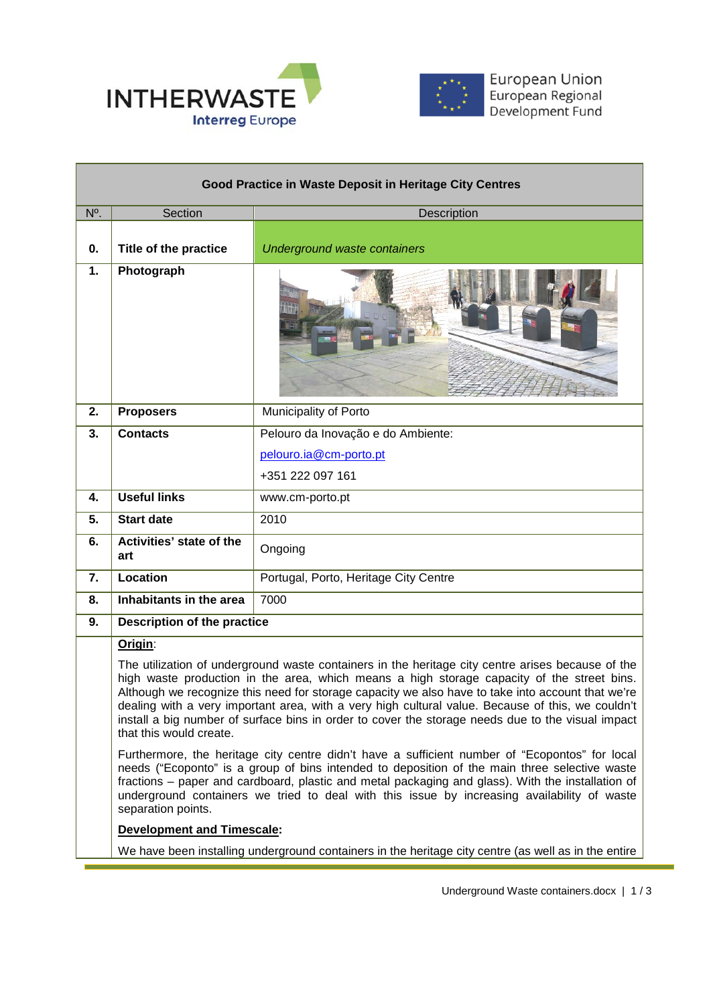



European Union<br>European Regional<br>Development Fund

T

| Good Practice in Waste Deposit in Heritage City Centres |                                                                                                                                                                                                                                                                                                                                                                                                                                                                                                                                           |                                       |  |  |
|---------------------------------------------------------|-------------------------------------------------------------------------------------------------------------------------------------------------------------------------------------------------------------------------------------------------------------------------------------------------------------------------------------------------------------------------------------------------------------------------------------------------------------------------------------------------------------------------------------------|---------------------------------------|--|--|
| N <sup>o</sup> .                                        | Section                                                                                                                                                                                                                                                                                                                                                                                                                                                                                                                                   | Description                           |  |  |
| 0.                                                      | Title of the practice                                                                                                                                                                                                                                                                                                                                                                                                                                                                                                                     | Underground waste containers          |  |  |
| 1.                                                      | Photograph                                                                                                                                                                                                                                                                                                                                                                                                                                                                                                                                |                                       |  |  |
| 2.                                                      | <b>Proposers</b>                                                                                                                                                                                                                                                                                                                                                                                                                                                                                                                          | Municipality of Porto                 |  |  |
| 3.                                                      | <b>Contacts</b>                                                                                                                                                                                                                                                                                                                                                                                                                                                                                                                           | Pelouro da Inovação e do Ambiente:    |  |  |
|                                                         |                                                                                                                                                                                                                                                                                                                                                                                                                                                                                                                                           | pelouro.ia@cm-porto.pt                |  |  |
|                                                         |                                                                                                                                                                                                                                                                                                                                                                                                                                                                                                                                           | +351 222 097 161                      |  |  |
| 4.                                                      | <b>Useful links</b>                                                                                                                                                                                                                                                                                                                                                                                                                                                                                                                       | www.cm-porto.pt                       |  |  |
| 5.                                                      | <b>Start date</b>                                                                                                                                                                                                                                                                                                                                                                                                                                                                                                                         | 2010                                  |  |  |
| 6.                                                      | Activities' state of the<br>art                                                                                                                                                                                                                                                                                                                                                                                                                                                                                                           | Ongoing                               |  |  |
| 7.                                                      | Location                                                                                                                                                                                                                                                                                                                                                                                                                                                                                                                                  | Portugal, Porto, Heritage City Centre |  |  |
| 8.                                                      | Inhabitants in the area                                                                                                                                                                                                                                                                                                                                                                                                                                                                                                                   | 7000                                  |  |  |
| 9.                                                      | <b>Description of the practice</b>                                                                                                                                                                                                                                                                                                                                                                                                                                                                                                        |                                       |  |  |
|                                                         | Origin:                                                                                                                                                                                                                                                                                                                                                                                                                                                                                                                                   |                                       |  |  |
|                                                         | The utilization of underground waste containers in the heritage city centre arises because of the<br>high waste production in the area, which means a high storage capacity of the street bins.<br>Although we recognize this need for storage capacity we also have to take into account that we're<br>dealing with a very important area, with a very high cultural value. Because of this, we couldn't<br>install a big number of surface bins in order to cover the storage needs due to the visual impact<br>that this would create. |                                       |  |  |
|                                                         | Furthermore, the heritage city centre didn't have a sufficient number of "Ecopontos" for local<br>needs ("Ecoponto" is a group of bins intended to deposition of the main three selective waste<br>fractions – paper and cardboard, plastic and metal packaging and glass). With the installation of<br>underground containers we tried to deal with this issue by increasing availability of waste<br>separation points.                                                                                                                 |                                       |  |  |
|                                                         | <b>Development and Timescale:</b>                                                                                                                                                                                                                                                                                                                                                                                                                                                                                                         |                                       |  |  |
|                                                         | We have been installing underground containers in the heritage city centre (as well as in the entire                                                                                                                                                                                                                                                                                                                                                                                                                                      |                                       |  |  |

Underground Waste containers.docx | 1 / 3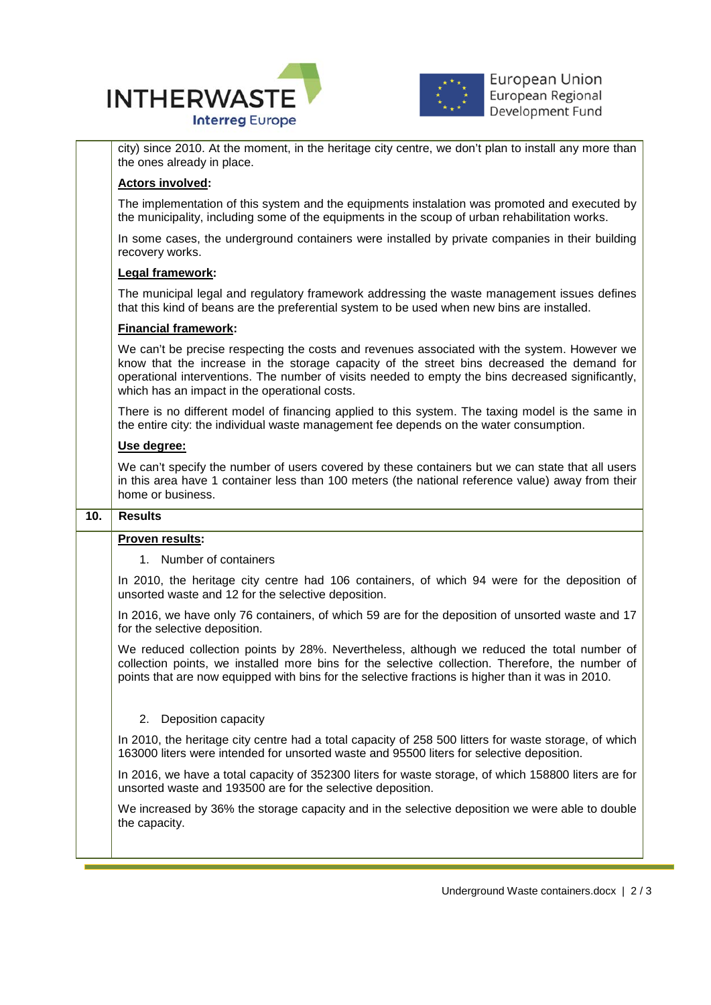



l, city) since 2010. At the moment, in the heritage city centre, we don't plan to install any more than the ones already in place.

# **Actors involved:**

The implementation of this system and the equipments instalation was promoted and executed by the municipality, including some of the equipments in the scoup of urban rehabilitation works.

In some cases, the underground containers were installed by private companies in their building recovery works.

## **Legal framework:**

The municipal legal and regulatory framework addressing the waste management issues defines that this kind of beans are the preferential system to be used when new bins are installed.

## **Financial framework:**

We can't be precise respecting the costs and revenues associated with the system. However we know that the increase in the storage capacity of the street bins decreased the demand for operational interventions. The number of visits needed to empty the bins decreased significantly, which has an impact in the operational costs.

There is no different model of financing applied to this system. The taxing model is the same in the entire city: the individual waste management fee depends on the water consumption.

#### **Use degree:**

We can't specify the number of users covered by these containers but we can state that all users in this area have 1 container less than 100 meters (the national reference value) away from their home or business.

| 10. | <b>Results</b>                                                                                                                                                                                                                                                                                      |  |  |
|-----|-----------------------------------------------------------------------------------------------------------------------------------------------------------------------------------------------------------------------------------------------------------------------------------------------------|--|--|
|     | Proven results:                                                                                                                                                                                                                                                                                     |  |  |
|     | 1. Number of containers                                                                                                                                                                                                                                                                             |  |  |
|     | In 2010, the heritage city centre had 106 containers, of which 94 were for the deposition of<br>unsorted waste and 12 for the selective deposition.                                                                                                                                                 |  |  |
|     | In 2016, we have only 76 containers, of which 59 are for the deposition of unsorted waste and 17<br>for the selective deposition.                                                                                                                                                                   |  |  |
|     | We reduced collection points by 28%. Nevertheless, although we reduced the total number of<br>collection points, we installed more bins for the selective collection. Therefore, the number of<br>points that are now equipped with bins for the selective fractions is higher than it was in 2010. |  |  |
|     | 2. Deposition capacity<br>In 2010, the heritage city centre had a total capacity of 258 500 litters for waste storage, of which<br>163000 liters were intended for unsorted waste and 95500 liters for selective deposition.                                                                        |  |  |
|     |                                                                                                                                                                                                                                                                                                     |  |  |
|     | In 2016, we have a total capacity of 352300 liters for waste storage, of which 158800 liters are for<br>unsorted waste and 193500 are for the selective deposition.                                                                                                                                 |  |  |
|     | We increased by 36% the storage capacity and in the selective deposition we were able to double<br>the capacity.                                                                                                                                                                                    |  |  |
|     |                                                                                                                                                                                                                                                                                                     |  |  |